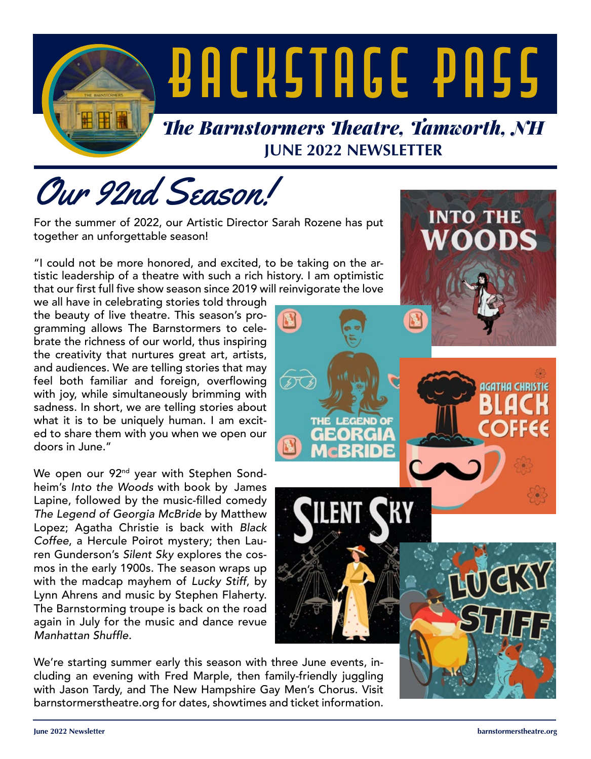

Our 92nd Season!

For the summer of 2022, our Artistic Director Sarah Rozene has put together an unforgettable season!

"I could not be more honored, and excited, to be taking on the artistic leadership of a theatre with such a rich history. I am optimistic that our first full five show season since 2019 will reinvigorate the love

we all have in celebrating stories told through the beauty of live theatre. This season's programming allows The Barnstormers to celebrate the richness of our world, thus inspiring the creativity that nurtures great art, artists, and audiences. We are telling stories that may feel both familiar and foreign, overflowing with joy, while simultaneously brimming with sadness. In short, we are telling stories about what it is to be uniquely human. I am excited to share them with you when we open our doors in June."

We open our 92<sup>nd</sup> year with Stephen Sondheim's *Into the Woods* with book by James Lapine, followed by the music-filled comedy *The Legend of Georgia McBride* by Matthew Lopez; Agatha Christie is back with *Black Coffee*, a Hercule Poirot mystery; then Lauren Gunderson's *Silent Sky* explores the cosmos in the early 1900s. The season wraps up with the madcap mayhem of *Lucky Stiff*, by Lynn Ahrens and music by Stephen Flaherty. The Barnstorming troupe is back on the road again in July for the music and dance revue Manhattan Shuffle.

We're starting summer early this season with three June events, including an evening with Fred Marple, then family-friendly juggling with Jason Tardy, and The New Hampshire Gay Men's Chorus. Visit barnstormerstheatre.org for dates, showtimes and ticket information.

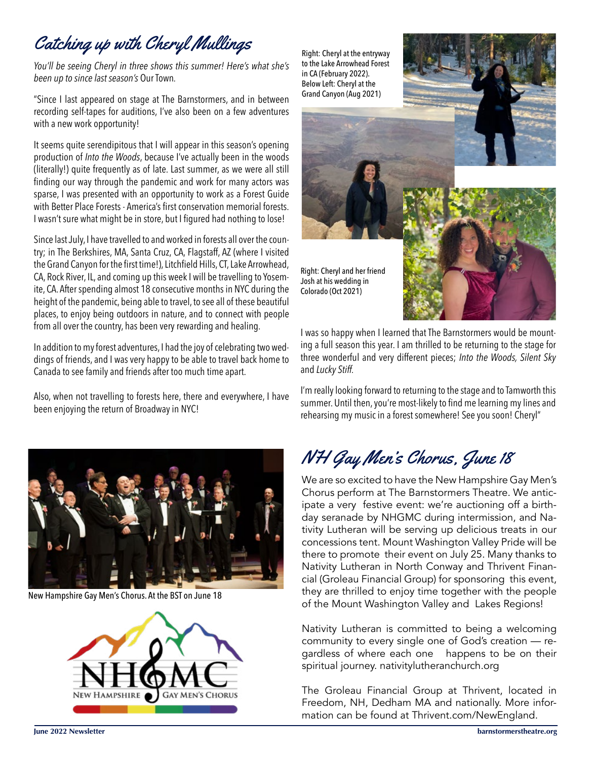## Catching up with Cheryl Mullings

*You'll be seeing Cheryl in three shows this summer! Here's what she's been up to since last season's* Our Town*.* 

"Since I last appeared on stage at The Barnstormers, and in between recording self-tapes for auditions, I've also been on a few adventures with a new work opportunity!

It seems quite serendipitous that I will appear in this season's opening production of *Into the Woods*, because I've actually been in the woods (literally!) quite frequently as of late. Last summer, as we were all still finding our way through the pandemic and work for many actors was sparse, I was presented with an opportunity to work as a Forest Guide with Better Place Forests - America's first conservation memorial forests. I wasn't sure what might be in store, but I figured had nothing to lose!

Since last July, I have travelled to and worked in forests all over the country; in The Berkshires, MA, Santa Cruz, CA, Flagstaff, AZ (where I visited the Grand Canyon for the first time!), Litchfield Hills, CT, Lake Arrowhead, CA, Rock River, IL, and coming up this week I will be travelling to Yosemite, CA. After spending almost 18 consecutive months in NYC during the height of the pandemic, being able to travel, to see all of these beautiful places, to enjoy being outdoors in nature, and to connect with people from all over the country, has been very rewarding and healing.

In addition to my forest adventures, I had the joy of celebrating two weddings of friends, and I was very happy to be able to travel back home to Canada to see family and friends after too much time apart.

Also, when not travelling to forests here, there and everywhere, I have been enjoying the return of Broadway in NYC!



New Hampshire Gay Men's Chorus. At the BST on June 18



Right: Cheryl at the entryway to the Lake Arrowhead Forest in CA (February 2022). Below Left: Cheryl at the Grand Canyon (Aug 2021)

Right: Cheryl and her friend Josh at his wedding in Colorado (Oct 2021)



I was so happy when I learned that The Barnstormers would be mounting a full season this year. I am thrilled to be returning to the stage for three wonderful and very different pieces; *Into the Woods, Silent Sky*  and *Lucky Stiff.*

I'm really looking forward to returning to the stage and to Tamworth this summer. Until then, you're most-likely to find me learning my lines and rehearsing my music in a forest somewhere! See you soon! Cheryl"

## NH Gay Men's Chorus, June 18

We are so excited to have the New Hampshire Gay Men's Chorus perform at The Barnstormers Theatre. We anticipate a very festive event: we're auctioning off a birthday seranade by NHGMC during intermission, and Nativity Lutheran will be serving up delicious treats in our concessions tent. Mount Washington Valley Pride will be there to promote their event on July 25. Many thanks to Nativity Lutheran in North Conway and Thrivent Financial (Groleau Financial Group) for sponsoring this event, they are thrilled to enjoy time together with the people of the Mount Washington Valley and Lakes Regions!

Nativity Lutheran is committed to being a welcoming community to every single one of God's creation — regardless of where each one happens to be on their spiritual journey. nativitylutheranchurch.org

The Groleau Financial Group at Thrivent, located in Freedom, NH, Dedham MA and nationally. More information can be found at Thrivent.com/NewEngland.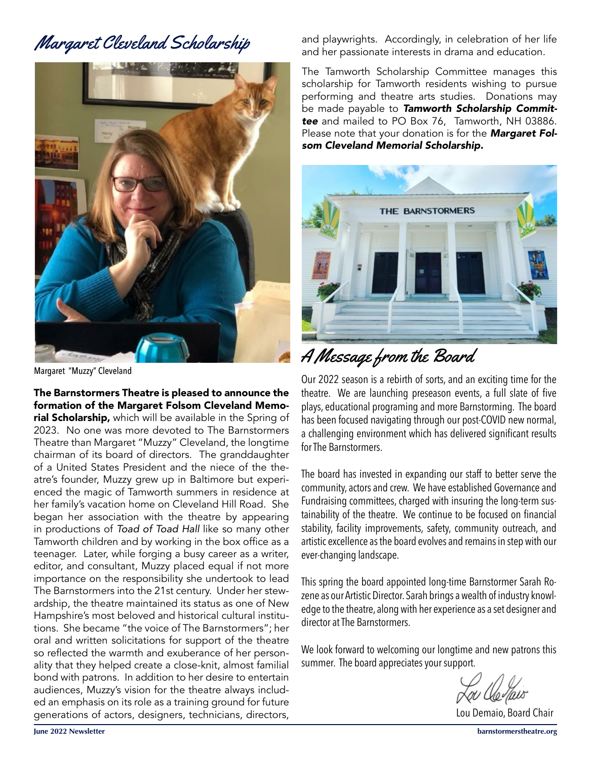### Margaret Cleveland Scholarship



Margaret "Muzzy" Cleveland

The Barnstormers Theatre is pleased to announce the formation of the Margaret Folsom Cleveland Memorial Scholarship, which will be available in the Spring of 2023. No one was more devoted to The Barnstormers Theatre than Margaret "Muzzy" Cleveland, the longtime chairman of its board of directors. The granddaughter of a United States President and the niece of the theatre's founder, Muzzy grew up in Baltimore but experienced the magic of Tamworth summers in residence at her family's vacation home on Cleveland Hill Road. She began her association with the theatre by appearing in productions of *Toad of Toad Hall* like so many other Tamworth children and by working in the box office as a teenager. Later, while forging a busy career as a writer, editor, and consultant, Muzzy placed equal if not more importance on the responsibility she undertook to lead The Barnstormers into the 21st century. Under her stewardship, the theatre maintained its status as one of New Hampshire's most beloved and historical cultural institutions. She became "the voice of The Barnstormers"; her oral and written solicitations for support of the theatre so reflected the warmth and exuberance of her personality that they helped create a close-knit, almost familial bond with patrons. In addition to her desire to entertain audiences, Muzzy's vision for the theatre always included an emphasis on its role as a training ground for future generations of actors, designers, technicians, directors,

and playwrights. Accordingly, in celebration of her life and her passionate interests in drama and education.

The Tamworth Scholarship Committee manages this scholarship for Tamworth residents wishing to pursue performing and theatre arts studies. Donations may be made payable to *Tamworth Scholarship Committee* and mailed to PO Box 76, Tamworth, NH 03886. Please note that your donation is for the *Margaret Folsom Cleveland Memorial Scholarship.*



A Message from the Board

Our 2022 season is a rebirth of sorts, and an exciting time for the theatre. We are launching preseason events, a full slate of five plays, educational programing and more Barnstorming. The board has been focused navigating through our post-COVID new normal, a challenging environment which has delivered significant results for The Barnstormers.

The board has invested in expanding our staff to better serve the community, actors and crew. We have established Governance and Fundraising committees, charged with insuring the long-term sustainability of the theatre. We continue to be focused on financial stability, facility improvements, safety, community outreach, and artistic excellence as the board evolves and remains in step with our ever-changing landscape.

This spring the board appointed long-time Barnstormer Sarah Rozene as our Artistic Director. Sarah brings a wealth of industry knowledge to the theatre, along with her experience as a set designer and director at The Barnstormers.

We look forward to welcoming our longtime and new patrons this summer. The board appreciates your support.

Lou Demaio, Board Chair